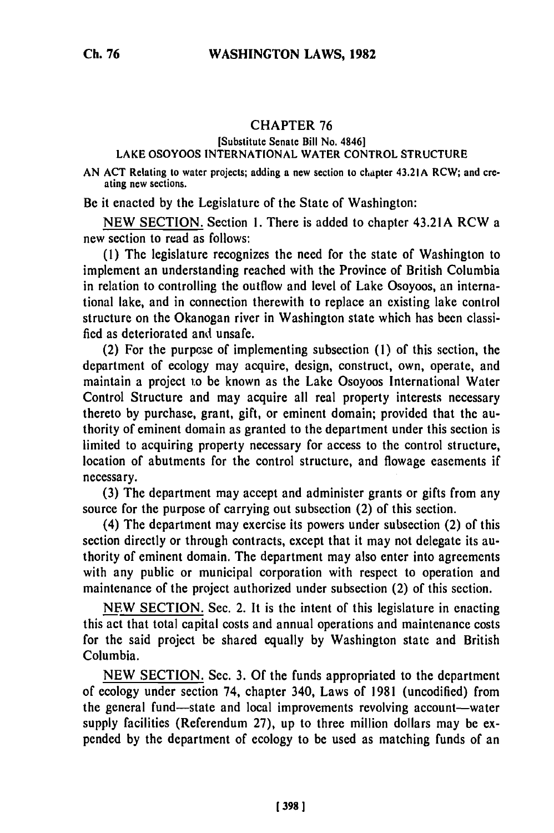## **CHAPTER 76**

[Substitute Senate Bill No. 48461

LAKE **OSOYOOS** INTERNATIONAL WATER CONTROL **STRUCTURE**

**AN ACT** Relating **to** water projects; adding a new section to **chapter** 43.21A RCW; and cre **ating** new sections.

Be it enacted by the Legislature of the State of Washington:

**NEW SECTION.** Section **1.** There is added to chapter 43.21A RCW a new section to read as follows:

**(1)** The legislature recognizes the need for the state of Washington to implement an understanding reached with the Province of British Columbia in relation to controlling the outflow and level of Lake Osoyoos, an international lake, and in connection therewith to replace an existing lake control structure on the Okanogan river in Washington state which has been classified as deteriorated and unsafe.

(2) For the purpose of implementing subsection **(1)** of this section, the department of ecology may acquire, design, construct, own, operate, and maintain a project to **be** known as the Lake Osoyoos International Water Control Structure and may acquire all real property interests necessary thereto by purchase, grant, gift, or eminent domain; provided that the authority of eminent domain as granted to the department under this section is limited to acquiring property necessary for access to the control structure, location of abutments for the control structure, and flowage easements if necessary.

**(3)** The department may accept and administer grants or gifts from any source for the purpose of carrying out subsection (2) of this section.

(4) The department may exercise its powers under subsection (2) of this section directly or through contracts, except that it may not delegate its authority of eminent domain. The department may also enter into agreements with any public or municipal corporation with respect to operation and maintenance of the project authorized under subsection (2) of this section.

NEW SECTION. Sec. 2. It is the intent of this legislature in enacting this act that total capital costs and annual operations and maintenance costs for the said project be shared equally by Washington state and British Columbia.

NEW SECTION. Sec. 3. Of the funds appropriated to the department of ecology under section 74, chapter 340, Laws of 1981 (uncodified) from the general fund-state and local improvements revolving account-water supply facilities (Referendum 27), up to three million dollars may be expended by the department of ecology to be used as matching funds of an